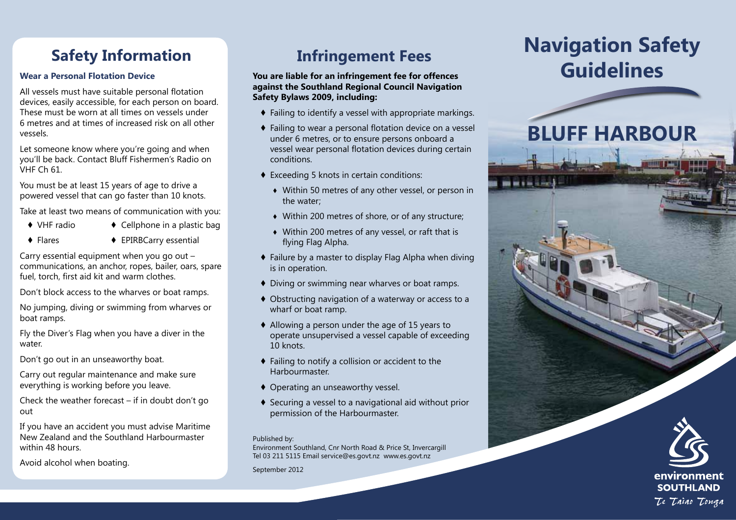## **Safety Information**

## **Wear a Personal Flotation Device**

All vessels must have suitable personal flotation devices, easily accessible, for each person on board. These must be worn at all times on vessels under 6 metres and at times of increased risk on all other vessels.

Let someone know where you're going and when you'll be back. Contact Bluff Fishermen's Radio on VHF Ch 61.

You must be at least 15 years of age to drive a powered vessel that can go faster than 10 knots.

Take at least two means of communication with you:

- 
- ♦ VHF radio ♦ Cellphone in a plastic bag
- 
- ♦ Flares ♦ EPIRBCarry essential

Carry essential equipment when you go out  $$ communications, an anchor, ropes, bailer, oars, spare fuel, torch, first aid kit and warm clothes.

Don't block access to the wharves or boat ramps.

No jumping, diving or swimming from wharves or boat ramps.

Fly the Diver's Flag when you have a diver in the water.

Don't go out in an unseaworthy boat.

Carry out regular maintenance and make sure everything is working before you leave.

Check the weather forecast – if in doubt don't go out

If you have an accident you must advise Maritime New Zealand and the Southland Harbourmaster within 48 hours.

Avoid alcohol when boating.

# **Infringement Fees**

### **You are liable for an infringement fee for offences against the Southland Regional Council Navigation Safety Bylaws 2009, including:**

- ♦ Failing to identify a vessel with appropriate markings.
- ♦ Failing to wear a personal flotation device on a vessel under 6 metres, or to ensure persons onboard a vessel wear personal flotation devices during certain conditions.
- ♦ Exceeding 5 knots in certain conditions:
	- ♦ Within 50 metres of any other vessel, or person in the water;
	- ♦ Within 200 metres of shore, or of any structure;
	- ♦ Within 200 metres of any vessel, or raft that is flying Flag Alpha.
- ♦ Failure by a master to display Flag Alpha when diving is in operation.
- ♦ Diving or swimming near wharves or boat ramps.
- ♦ Obstructing navigation of a waterway or access to a wharf or boat ramp.
- ♦ Allowing a person under the age of 15 years to operate unsupervised a vessel capable of exceeding 10 knots.
- ♦ Failing to notify a collision or accident to the Harbourmaster.
- ♦ Operating an unseaworthy vessel.
- ♦ Securing a vessel to a navigational aid without prior permission of the Harbourmaster.

#### Published by:

Environment Southland, Cnr North Road & Price St, Invercargill Tel 03 211 5115 Email service@es.govt.nz www.es.govt.nz

September 2012

# **Navigation Safety Guidelines**

# **BLUFF HARBOUR**